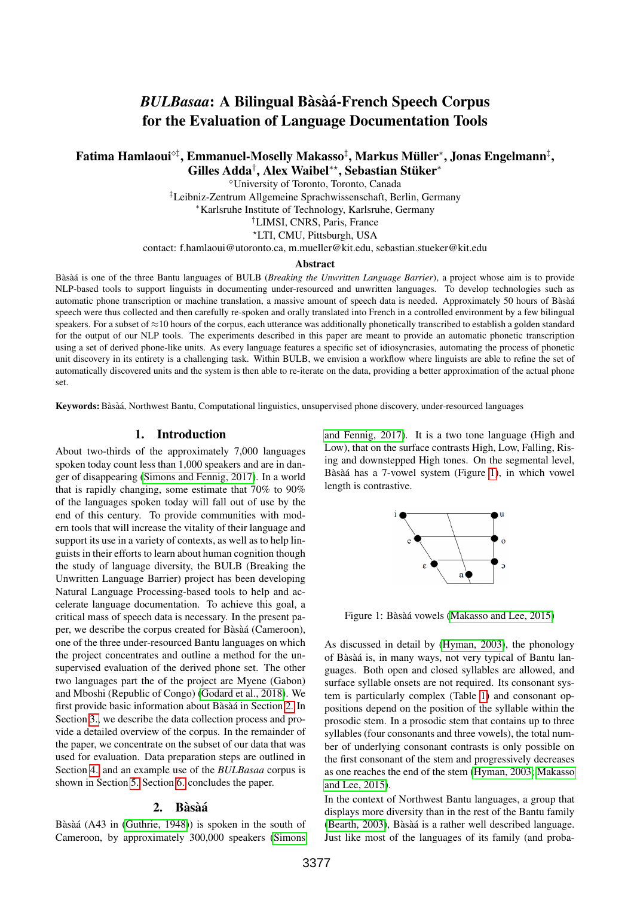# *BULBasaa*: A Bilingual Bàsàá-French Speech Corpus for the Evaluation of Language Documentation Tools

Fatima Hamlaoui°‡, Emmanuel-Moselly Makasso‡, Markus Müller\*, Jonas Engelmann‡, Gilles Adda<sup>†</sup>, Alex Waibel<sup>\*\*</sup>, Sebastian Stüker<sup>\*</sup>

> University of Toronto, Toronto, Canada ‡Leibniz-Zentrum Allgemeine Sprachwissenschaft, Berlin, Germany <sup>∗</sup>Karlsruhe Institute of Technology, Karlsruhe, Germany †LIMSI, CNRS, Paris, France ?LTI, CMU, Pittsburgh, USA

contact: f.hamlaoui@utoronto.ca, m.mueller@kit.edu, sebastian.stueker@kit.edu

#### Abstract

Bàsà is one of the three Bantu languages of BULB (*Breaking the Unwritten Language Barrier*), a project whose aim is to provide NLP-based tools to support linguists in documenting under-resourced and unwritten languages. To develop technologies such as automatic phone transcription or machine translation, a massive amount of speech data is needed. Approximately 50 hours of Bàsà a speech were thus collected and then carefully re-spoken and orally translated into French in a controlled environment by a few bilingual speakers. For a subset of  $\approx$ 10 hours of the corpus, each utterance was additionally phonetically transcribed to establish a golden standard for the output of our NLP tools. The experiments described in this paper are meant to provide an automatic phonetic transcription using a set of derived phone-like units. As every language features a specific set of idiosyncrasies, automating the process of phonetic unit discovery in its entirety is a challenging task. Within BULB, we envision a workflow where linguists are able to refine the set of automatically discovered units and the system is then able to re-iterate on the data, providing a better approximation of the actual phone set.

Keywords: Bàsàá, Northwest Bantu, Computational linguistics, unsupervised phone discovery, under-resourced languages

### 1. Introduction

About two-thirds of the approximately 7,000 languages spoken today count less than 1,000 speakers and are in danger of disappearing [\(Simons and Fennig, 2017\)](#page-4-0). In a world that is rapidly changing, some estimate that 70% to 90% of the languages spoken today will fall out of use by the end of this century. To provide communities with modern tools that will increase the vitality of their language and support its use in a variety of contexts, as well as to help linguists in their efforts to learn about human cognition though the study of language diversity, the BULB (Breaking the Unwritten Language Barrier) project has been developing Natural Language Processing-based tools to help and accelerate language documentation. To achieve this goal, a critical mass of speech data is necessary. In the present paper, we describe the corpus created for Bàsàá (Cameroon), one of the three under-resourced Bantu languages on which the project concentrates and outline a method for the unsupervised evaluation of the derived phone set. The other two languages part the of the project are Myene (Gabon) and Mboshi (Republic of Congo) [\(Godard et al., 2018\)](#page-4-1). We first provide basic information about Bàsàá in Section [2.](#page-0-0) In Section [3.,](#page-1-0) we describe the data collection process and provide a detailed overview of the corpus. In the remainder of the paper, we concentrate on the subset of our data that was used for evaluation. Data preparation steps are outlined in Section [4.](#page-2-0) and an example use of the *BULBasaa* corpus is shown in Section [5.](#page-2-1) Section [6.](#page-3-0) concludes the paper.

#### 2. Bàsàá

<span id="page-0-0"></span>Bàsàá (A43 in [\(Guthrie, 1948\)](#page-4-2)) is spoken in the south of Cameroon, by approximately 300,000 speakers [\(Simons](#page-4-0)

[and Fennig, 2017\)](#page-4-0). It is a two tone language (High and Low), that on the surface contrasts High, Low, Falling, Rising and downstepped High tones. On the segmental level, Bàsàá has a 7-vowel system (Figure [1\)](#page-0-1), in which vowel length is contrastive.



<span id="page-0-1"></span>Figure 1: Bàsàá vowels [\(Makasso and Lee, 2015\)](#page-4-3)

As discussed in detail by [\(Hyman, 2003\)](#page-4-4), the phonology of Bàsàá is, in many ways, not very typical of Bantu languages. Both open and closed syllables are allowed, and surface syllable onsets are not required. Its consonant system is particularly complex (Table [1\)](#page-1-1) and consonant oppositions depend on the position of the syllable within the prosodic stem. In a prosodic stem that contains up to three syllables (four consonants and three vowels), the total number of underlying consonant contrasts is only possible on the first consonant of the stem and progressively decreases as one reaches the end of the stem [\(Hyman, 2003;](#page-4-4) [Makasso](#page-4-3) [and Lee, 2015\)](#page-4-3).

In the context of Northwest Bantu languages, a group that displays more diversity than in the rest of the Bantu family [\(Bearth, 2003\)](#page-4-5), Bàsàá is a rather well described language. Just like most of the languages of its family (and proba-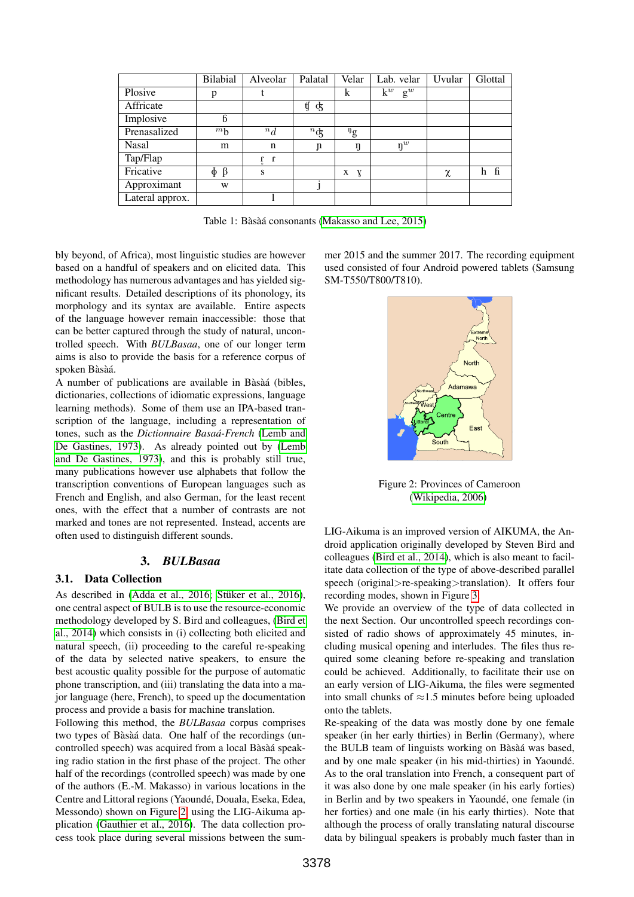|                 | <b>Bilabial</b>   | Alveolar   | Palatal          | Velar                         | Lab. velar              | Uvular | Glottal  |
|-----------------|-------------------|------------|------------------|-------------------------------|-------------------------|--------|----------|
| Plosive         | p                 |            |                  | k                             | $k^w$<br>$\mathbf{g}^w$ |        |          |
| Affricate       |                   |            | ţſ<br>F          |                               |                         |        |          |
| Implosive       | 6                 |            |                  |                               |                         |        |          |
| Prenasalized    | $m_{h}$           | $n_{d}$    | ${}^n\text{\^d}$ | $\mathfrak{g}^{\mathfrak{g}}$ |                         |        |          |
| Nasal           | m                 | n          | $\mathbf n$      | ŋ                             | $\mathbf{y}^w$          |        |          |
| Tap/Flap        |                   | $\int_a^b$ |                  |                               |                         |        |          |
| Fricative       | $\Phi$<br>$\beta$ | S          |                  | X<br>X                        |                         | χ      | - ն<br>h |
| Approximant     | W                 |            |                  |                               |                         |        |          |
| Lateral approx. |                   |            |                  |                               |                         |        |          |

<span id="page-1-1"></span>Table 1: Bàsàá consonants [\(Makasso and Lee, 2015\)](#page-4-3)

bly beyond, of Africa), most linguistic studies are however based on a handful of speakers and on elicited data. This methodology has numerous advantages and has yielded significant results. Detailed descriptions of its phonology, its morphology and its syntax are available. Entire aspects of the language however remain inaccessible: those that can be better captured through the study of natural, uncontrolled speech. With *BULBasaa*, one of our longer term aims is also to provide the basis for a reference corpus of spoken Bàsàá.

A number of publications are available in Bàsàá (bibles, dictionaries, collections of idiomatic expressions, language learning methods). Some of them use an IPA-based transcription of the language, including a representation of tones, such as the *Dictionnaire Basaa-French ´* [\(Lemb and](#page-4-6) [De Gastines, 1973\)](#page-4-6). As already pointed out by [\(Lemb](#page-4-6) [and De Gastines, 1973\)](#page-4-6), and this is probably still true, many publications however use alphabets that follow the transcription conventions of European languages such as French and English, and also German, for the least recent ones, with the effect that a number of contrasts are not marked and tones are not represented. Instead, accents are often used to distinguish different sounds.

## 3. *BULBasaa*

# <span id="page-1-0"></span>3.1. Data Collection

As described in [\(Adda et al., 2016;](#page-4-7) Stüker et al., 2016), one central aspect of BULB is to use the resource-economic methodology developed by S. Bird and colleagues, [\(Bird et](#page-4-9) [al., 2014\)](#page-4-9) which consists in (i) collecting both elicited and natural speech, (ii) proceeding to the careful re-speaking of the data by selected native speakers, to ensure the best acoustic quality possible for the purpose of automatic phone transcription, and (iii) translating the data into a major language (here, French), to speed up the documentation process and provide a basis for machine translation.

Following this method, the *BULBasaa* corpus comprises two types of Bàsàá data. One half of the recordings (uncontrolled speech) was acquired from a local Bàsàá speaking radio station in the first phase of the project. The other half of the recordings (controlled speech) was made by one of the authors (E.-M. Makasso) in various locations in the Centre and Littoral regions (Yaoundé, Douala, Eseka, Edea, Messondo) shown on Figure [2,](#page-1-2) using the LIG-Aikuma application [\(Gauthier et al., 2016\)](#page-4-10). The data collection process took place during several missions between the summer 2015 and the summer 2017. The recording equipment used consisted of four Android powered tablets (Samsung SM-T550/T800/T810).



<span id="page-1-2"></span>Figure 2: Provinces of Cameroon [\(Wikipedia, 2006\)](#page-4-11)

LIG-Aikuma is an improved version of AIKUMA, the Android application originally developed by Steven Bird and colleagues [\(Bird et al., 2014\)](#page-4-9), which is also meant to facilitate data collection of the type of above-described parallel speech (original>re-speaking>translation). It offers four recording modes, shown in Figure [3.](#page-2-2)

We provide an overview of the type of data collected in the next Section. Our uncontrolled speech recordings consisted of radio shows of approximately 45 minutes, including musical opening and interludes. The files thus required some cleaning before re-speaking and translation could be achieved. Additionally, to facilitate their use on an early version of LIG-Aikuma, the files were segmented into small chunks of  $\approx$ 1.5 minutes before being uploaded onto the tablets.

Re-speaking of the data was mostly done by one female speaker (in her early thirties) in Berlin (Germany), where the BULB team of linguists working on Bàsàá was based, and by one male speaker (in his mid-thirties) in Yaoundé. As to the oral translation into French, a consequent part of it was also done by one male speaker (in his early forties) in Berlin and by two speakers in Yaoundé, one female (in her forties) and one male (in his early thirties). Note that although the process of orally translating natural discourse data by bilingual speakers is probably much faster than in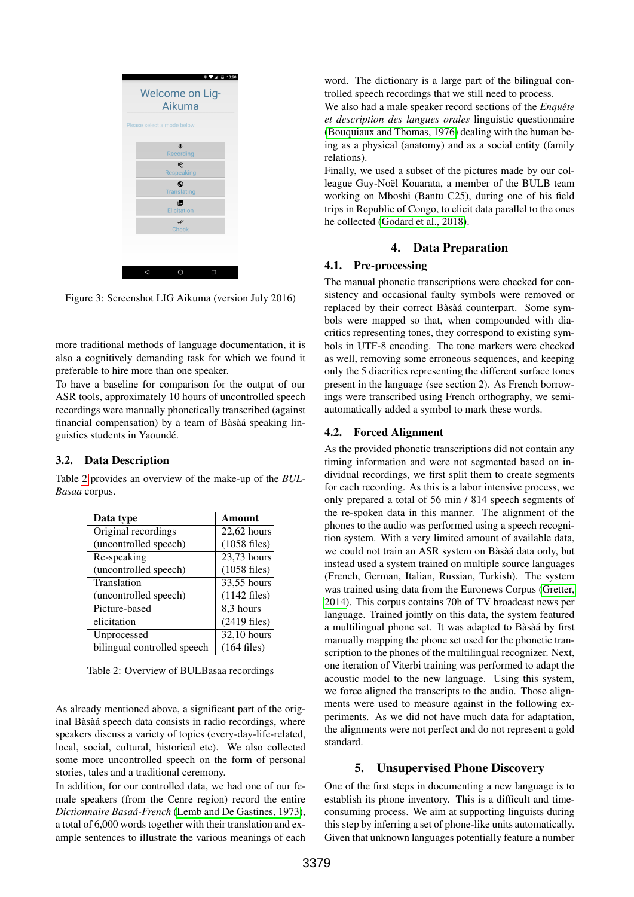

<span id="page-2-2"></span>Figure 3: Screenshot LIG Aikuma (version July 2016)

more traditional methods of language documentation, it is also a cognitively demanding task for which we found it preferable to hire more than one speaker.

To have a baseline for comparison for the output of our ASR tools, approximately 10 hours of uncontrolled speech recordings were manually phonetically transcribed (against financial compensation) by a team of Bàsàá speaking linguistics students in Yaounde.´

## 3.2. Data Description

Table [2](#page-2-3) provides an overview of the make-up of the *BUL-Basaa* corpus.

| Data type                   | Amount         |  |
|-----------------------------|----------------|--|
| Original recordings         | $22,62$ hours  |  |
| (uncontrolled speech)       | $(1058$ files) |  |
| Re-speaking                 | 23,73 hours    |  |
| (uncontrolled speech)       | $(1058$ files) |  |
| Translation                 | 33,55 hours    |  |
| (uncontrolled speech)       | $(1142$ files) |  |
| Picture-based               | 8.3 hours      |  |
| elicitation                 | $(2419$ files) |  |
| Unprocessed                 | 32,10 hours    |  |
| bilingual controlled speech | $(164$ files)  |  |

<span id="page-2-3"></span>Table 2: Overview of BULBasaa recordings

As already mentioned above, a significant part of the original Bàsàá speech data consists in radio recordings, where speakers discuss a variety of topics (every-day-life-related, local, social, cultural, historical etc). We also collected some more uncontrolled speech on the form of personal stories, tales and a traditional ceremony.

In addition, for our controlled data, we had one of our female speakers (from the Cenre region) record the entire *Dictionnaire Basaa-French ´* [\(Lemb and De Gastines, 1973\)](#page-4-6), a total of 6,000 words together with their translation and example sentences to illustrate the various meanings of each word. The dictionary is a large part of the bilingual controlled speech recordings that we still need to process.

We also had a male speaker record sections of the *Enquête et description des langues orales* linguistic questionnaire [\(Bouquiaux and Thomas, 1976\)](#page-4-12) dealing with the human being as a physical (anatomy) and as a social entity (family relations).

Finally, we used a subset of the pictures made by our colleague Guy-Noël Kouarata, a member of the BULB team working on Mboshi (Bantu C25), during one of his field trips in Republic of Congo, to elicit data parallel to the ones he collected [\(Godard et al., 2018\)](#page-4-1).

#### 4. Data Preparation

## <span id="page-2-0"></span>4.1. Pre-processing

The manual phonetic transcriptions were checked for consistency and occasional faulty symbols were removed or replaced by their correct Bàsàá counterpart. Some symbols were mapped so that, when compounded with diacritics representing tones, they correspond to existing symbols in UTF-8 encoding. The tone markers were checked as well, removing some erroneous sequences, and keeping only the 5 diacritics representing the different surface tones present in the language (see section 2). As French borrowings were transcribed using French orthography, we semiautomatically added a symbol to mark these words.

#### <span id="page-2-4"></span>4.2. Forced Alignment

As the provided phonetic transcriptions did not contain any timing information and were not segmented based on individual recordings, we first split them to create segments for each recording. As this is a labor intensive process, we only prepared a total of 56 min / 814 speech segments of the re-spoken data in this manner. The alignment of the phones to the audio was performed using a speech recognition system. With a very limited amount of available data, we could not train an ASR system on Bàsàá data only, but instead used a system trained on multiple source languages (French, German, Italian, Russian, Turkish). The system was trained using data from the Euronews Corpus [\(Gretter,](#page-4-13) [2014\)](#page-4-13). This corpus contains 70h of TV broadcast news per language. Trained jointly on this data, the system featured a multilingual phone set. It was adapted to Bàsà a by first manually mapping the phone set used for the phonetic transcription to the phones of the multilingual recognizer. Next, one iteration of Viterbi training was performed to adapt the acoustic model to the new language. Using this system, we force aligned the transcripts to the audio. Those alignments were used to measure against in the following experiments. As we did not have much data for adaptation, the alignments were not perfect and do not represent a gold standard.

#### 5. Unsupervised Phone Discovery

<span id="page-2-1"></span>One of the first steps in documenting a new language is to establish its phone inventory. This is a difficult and timeconsuming process. We aim at supporting linguists during this step by inferring a set of phone-like units automatically. Given that unknown languages potentially feature a number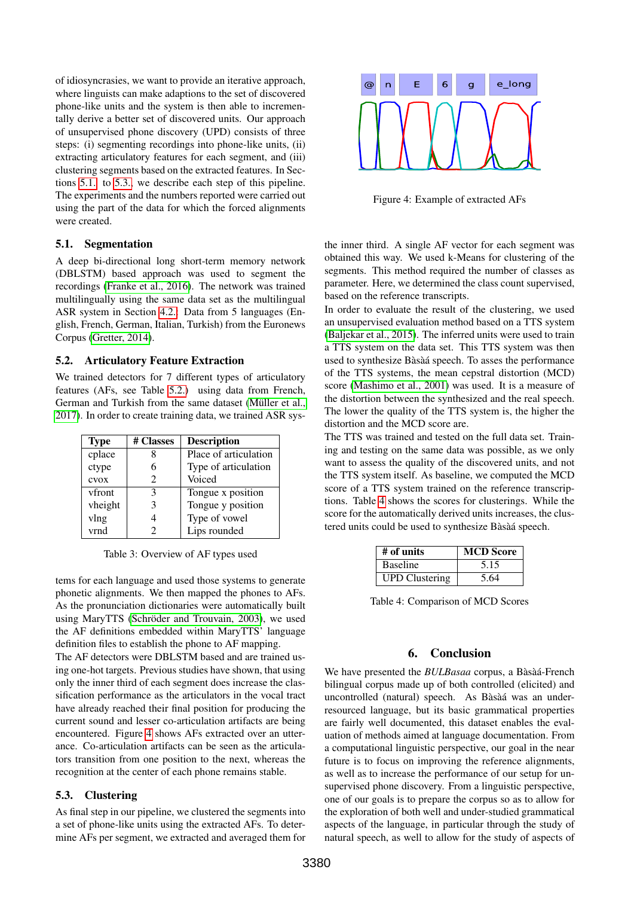of idiosyncrasies, we want to provide an iterative approach, m I t de\_long m k n a p s t @ n E 6 g e\_long p n I s a l 6 ts aI t @ n SIL where linguists can make adaptions to the set of discovered phone-like units and the system is then able to incrementally derive a better set of discovered units. Our approach of unsupervised phone discovery (UPD) consists of three steps: (i) segmenting recordings into phone-like units, (ii) extracting articulatory features for each segment, and (iii) clustering segments based on the extracted features. In Sections [5.1.](#page-3-1) to [5.3.,](#page-3-2) we describe each step of this pipeline. The experiments and the numbers reported were carried out  $\mu$  using the part of the data for which the forced alignments were created.

#### <span id="page-3-1"></span>5.1. Segmentation

A deep bi-directional long short-term memory network (DBLSTM) based approach was used to segment the recordings [\(Franke et al., 2016\)](#page-4-14). The network was trained multilingually using the same data set as the multilingual ASR system in Section [4.2.:](#page-2-4) Data from 5 languages (English, French, German, Italian, Turkish) from the Euronews Corpus [\(Gretter, 2014\)](#page-4-13).

#### <span id="page-3-3"></span>5.2. Articulatory Feature Extraction

We trained detectors for 7 different types of articulatory features (AFs, see Table [5.2.\)](#page-3-3) using data from French, German and Turkish from the same dataset (Müller et al., [2017\)](#page-4-15). In order to create training data, we trained ASR sys-

| <b>Type</b> | # Classes             | <b>Description</b>    |
|-------------|-----------------------|-----------------------|
| cplace      |                       | Place of articulation |
| ctype       |                       | Type of articulation  |
| cvox        | $\mathcal{D}_{\cdot}$ | Voiced                |
| vfront      | 3                     | Tongue x position     |
| vheight     | 3                     | Tongue y position     |
| vlng        |                       | Type of vowel         |
| vrnd        |                       | Lips rounded          |

Table 3: Overview of AF types used

tems for each language and used those systems to generate phonetic alignments. We then mapped the phones to AFs. As the pronunciation dictionaries were automatically built using MaryTTS (Schröder and Trouvain, 2003), we used the AF definitions embedded within MaryTTS' language definition files to establish the phone to AF mapping.

The AF detectors were DBLSTM based and are trained using one-hot targets. Previous studies have shown, that using only the inner third of each segment does increase the classification performance as the articulators in the vocal tract have already reached their final position for producing the current sound and lesser co-articulation artifacts are being encountered. Figure [4](#page-3-4) shows AFs extracted over an utterance. Co-articulation artifacts can be seen as the articulators transition from one position to the next, whereas the recognition at the center of each phone remains stable.

## <span id="page-3-2"></span>5.3. Clustering

As final step in our pipeline, we clustered the segments into a set of phone-like units using the extracted AFs. To determine AFs per segment, we extracted and averaged them for



<span id="page-3-4"></span>Figure 4: Example of extracted AFs

the inner third. A single AF vector for each segment was obtained this way. We used k-Means for clustering of the segments. This method required the number of classes as parameter. Here, we determined the class count supervised, based on the reference transcripts.

In order to evaluate the result of the clustering, we used an unsupervised evaluation method based on a TTS system [\(Baljekar et al., 2015\)](#page-4-17). The inferred units were used to train a TTS system on the data set. This TTS system was then used to synthesize Bàsàá speech. To asses the performance of the TTS systems, the mean cepstral distortion (MCD) score [\(Mashimo et al., 2001\)](#page-4-18) was used. It is a measure of the distortion between the synthesized and the real speech. The lower the quality of the TTS system is, the higher the distortion and the MCD score are.

The TTS was trained and tested on the full data set. Training and testing on the same data was possible, as we only want to assess the quality of the discovered units, and not the TTS system itself. As baseline, we computed the MCD score of a TTS system trained on the reference transcriptions. Table [4](#page-3-5) shows the scores for clusterings. While the score for the automatically derived units increases, the clustered units could be used to synthesize Bàsàá speech.

| # of units            | <b>MCD</b> Score |
|-----------------------|------------------|
| Baseline              | 5.15             |
| <b>UPD</b> Clustering | 5.64             |

<span id="page-3-5"></span>Table 4: Comparison of MCD Scores

## 6. Conclusion

<span id="page-3-0"></span>We have presented the **BULBasaa** corpus, a Bàsàá-French bilingual corpus made up of both controlled (elicited) and uncontrolled (natural) speech. As Bàsàá was an underresourced language, but its basic grammatical properties are fairly well documented, this dataset enables the evaluation of methods aimed at language documentation. From a computational linguistic perspective, our goal in the near future is to focus on improving the reference alignments, as well as to increase the performance of our setup for unsupervised phone discovery. From a linguistic perspective, one of our goals is to prepare the corpus so as to allow for the exploration of both well and under-studied grammatical aspects of the language, in particular through the study of natural speech, as well to allow for the study of aspects of